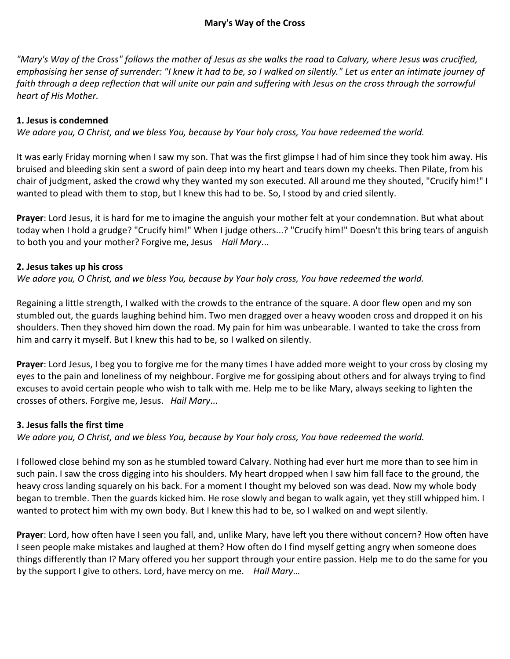# **Mary's Way of the Cross**

*"Mary's Way of the Cross" follows the mother of Jesus as she walks the road to Calvary, where Jesus was crucified, emphasising her sense of surrender: "I knew it had to be, so I walked on silently." Let us enter an intimate journey of faith through a deep reflection that will unite our pain and suffering with Jesus on the cross through the sorrowful heart of His Mother.*

# **1. Jesus is condemned**

*We adore you, O Christ, and we bless You, because by Your holy cross, You have redeemed the world.*

It was early Friday morning when I saw my son. That was the first glimpse I had of him since they took him away. His bruised and bleeding skin sent a sword of pain deep into my heart and tears down my cheeks. Then Pilate, from his chair of judgment, asked the crowd why they wanted my son executed. All around me they shouted, "Crucify him!" I wanted to plead with them to stop, but I knew this had to be. So, I stood by and cried silently.

**Prayer**: Lord Jesus, it is hard for me to imagine the anguish your mother felt at your condemnation. But what about today when I hold a grudge? "Crucify him!" When I judge others...? "Crucify him!" Doesn't this bring tears of anguish to both you and your mother? Forgive me, Jesus *Hail Mary*...

### **2. Jesus takes up his cross**

*We adore you, O Christ, and we bless You, because by Your holy cross, You have redeemed the world.*

Regaining a little strength, I walked with the crowds to the entrance of the square. A door flew open and my son stumbled out, the guards laughing behind him. Two men dragged over a heavy wooden cross and dropped it on his shoulders. Then they shoved him down the road. My pain for him was unbearable. I wanted to take the cross from him and carry it myself. But I knew this had to be, so I walked on silently.

**Prayer**: Lord Jesus, I beg you to forgive me for the many times I have added more weight to your cross by closing my eyes to the pain and loneliness of my neighbour. Forgive me for gossiping about others and for always trying to find excuses to avoid certain people who wish to talk with me. Help me to be like Mary, always seeking to lighten the crosses of others. Forgive me, Jesus. *Hail Mary*...

# **3. Jesus falls the first time**

*We adore you, O Christ, and we bless You, because by Your holy cross, You have redeemed the world.*

I followed close behind my son as he stumbled toward Calvary. Nothing had ever hurt me more than to see him in such pain. I saw the cross digging into his shoulders. My heart dropped when I saw him fall face to the ground, the heavy cross landing squarely on his back. For a moment I thought my beloved son was dead. Now my whole body began to tremble. Then the guards kicked him. He rose slowly and began to walk again, yet they still whipped him. I wanted to protect him with my own body. But I knew this had to be, so I walked on and wept silently.

**Prayer**: Lord, how often have I seen you fall, and, unlike Mary, have left you there without concern? How often have I seen people make mistakes and laughed at them? How often do I find myself getting angry when someone does things differently than I? Mary offered you her support through your entire passion. Help me to do the same for you by the support I give to others. Lord, have mercy on me. *Hail Mary*…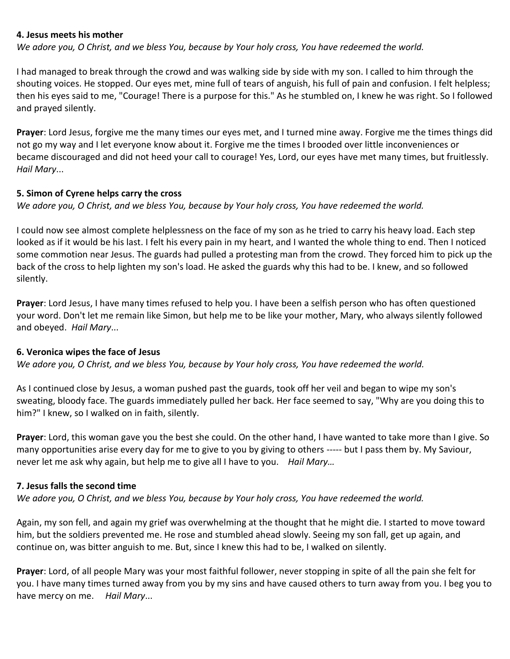#### **4. Jesus meets his mother**

*We adore you, O Christ, and we bless You, because by Your holy cross, You have redeemed the world.*

I had managed to break through the crowd and was walking side by side with my son. I called to him through the shouting voices. He stopped. Our eyes met, mine full of tears of anguish, his full of pain and confusion. I felt helpless; then his eyes said to me, "Courage! There is a purpose for this." As he stumbled on, I knew he was right. So I followed and prayed silently.

**Prayer**: Lord Jesus, forgive me the many times our eyes met, and I turned mine away. Forgive me the times things did not go my way and I let everyone know about it. Forgive me the times I brooded over little inconveniences or became discouraged and did not heed your call to courage! Yes, Lord, our eyes have met many times, but fruitlessly. *Hail Mary*...

#### **5. Simon of Cyrene helps carry the cross**

*We adore you, O Christ, and we bless You, because by Your holy cross, You have redeemed the world.*

I could now see almost complete helplessness on the face of my son as he tried to carry his heavy load. Each step looked as if it would be his last. I felt his every pain in my heart, and I wanted the whole thing to end. Then I noticed some commotion near Jesus. The guards had pulled a protesting man from the crowd. They forced him to pick up the back of the cross to help lighten my son's load. He asked the guards why this had to be. I knew, and so followed silently.

**Prayer**: Lord Jesus, I have many times refused to help you. I have been a selfish person who has often questioned your word. Don't let me remain like Simon, but help me to be like your mother, Mary, who always silently followed and obeyed. *Hail Mary*...

### **6. Veronica wipes the face of Jesus**

*We adore you, O Christ, and we bless You, because by Your holy cross, You have redeemed the world.*

As I continued close by Jesus, a woman pushed past the guards, took off her veil and began to wipe my son's sweating, bloody face. The guards immediately pulled her back. Her face seemed to say, "Why are you doing this to him?" I knew, so I walked on in faith, silently.

**Prayer**: Lord, this woman gave you the best she could. On the other hand, I have wanted to take more than I give. So many opportunities arise every day for me to give to you by giving to others ----- but I pass them by. My Saviour, never let me ask why again, but help me to give all I have to you. *Hail Mary…*

### **7. Jesus falls the second time**

*We adore you, O Christ, and we bless You, because by Your holy cross, You have redeemed the world.*

Again, my son fell, and again my grief was overwhelming at the thought that he might die. I started to move toward him, but the soldiers prevented me. He rose and stumbled ahead slowly. Seeing my son fall, get up again, and continue on, was bitter anguish to me. But, since I knew this had to be, I walked on silently.

**Prayer**: Lord, of all people Mary was your most faithful follower, never stopping in spite of all the pain she felt for you. I have many times turned away from you by my sins and have caused others to turn away from you. I beg you to have mercy on me. *Hail Mary*...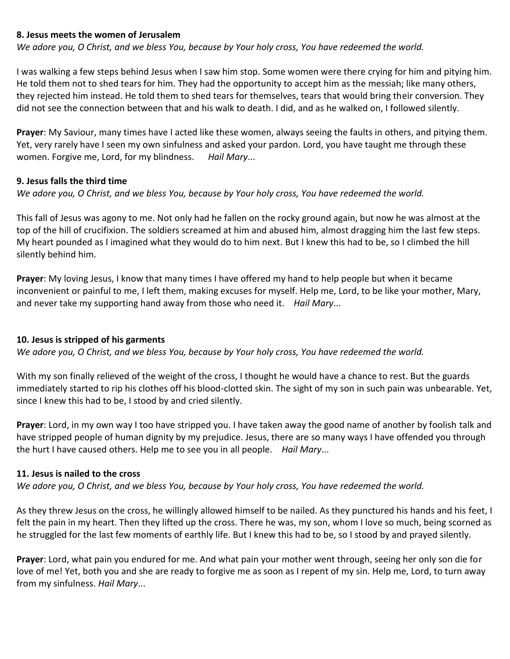### **8. Jesus meets the women of Jerusalem**

*We adore you, O Christ, and we bless You, because by Your holy cross, You have redeemed the world.*

I was walking a few steps behind Jesus when I saw him stop. Some women were there crying for him and pitying him. He told them not to shed tears for him. They had the opportunity to accept him as the messiah; like many others, they rejected him instead. He told them to shed tears for themselves, tears that would bring their conversion. They did not see the connection between that and his walk to death. I did, and as he walked on, I followed silently.

**Prayer**: My Saviour, many times have I acted like these women, always seeing the faults in others, and pitying them. Yet, very rarely have I seen my own sinfulness and asked your pardon. Lord, you have taught me through these women. Forgive me, Lord, for my blindness. *Hail Mary*...

#### **9. Jesus falls the third time**

*We adore you, O Christ, and we bless You, because by Your holy cross, You have redeemed the world.*

This fall of Jesus was agony to me. Not only had he fallen on the rocky ground again, but now he was almost at the top of the hill of crucifixion. The soldiers screamed at him and abused him, almost dragging him the last few steps. My heart pounded as I imagined what they would do to him next. But I knew this had to be, so I climbed the hill silently behind him.

**Prayer**: My loving Jesus, I know that many times I have offered my hand to help people but when it became inconvenient or painful to me, I left them, making excuses for myself. Help me, Lord, to be like your mother, Mary, and never take my supporting hand away from those who need it. *Hail Mary*...

### **10. Jesus is stripped of his garments**

*We adore you, O Christ, and we bless You, because by Your holy cross, You have redeemed the world.*

With my son finally relieved of the weight of the cross, I thought he would have a chance to rest. But the guards immediately started to rip his clothes off his blood-clotted skin. The sight of my son in such pain was unbearable. Yet, since I knew this had to be, I stood by and cried silently.

**Prayer**: Lord, in my own way I too have stripped you. I have taken away the good name of another by foolish talk and have stripped people of human dignity by my prejudice. Jesus, there are so many ways I have offended you through the hurt I have caused others. Help me to see you in all people. *Hail Mary*...

### **11. Jesus is nailed to the cross**

*We adore you, O Christ, and we bless You, because by Your holy cross, You have redeemed the world.*

As they threw Jesus on the cross, he willingly allowed himself to be nailed. As they punctured his hands and his feet, I felt the pain in my heart. Then they lifted up the cross. There he was, my son, whom I love so much, being scorned as he struggled for the last few moments of earthly life. But I knew this had to be, so I stood by and prayed silently.

**Prayer**: Lord, what pain you endured for me. And what pain your mother went through, seeing her only son die for love of me! Yet, both you and she are ready to forgive me as soon as I repent of my sin. Help me, Lord, to turn away from my sinfulness. *Hail Mary*...